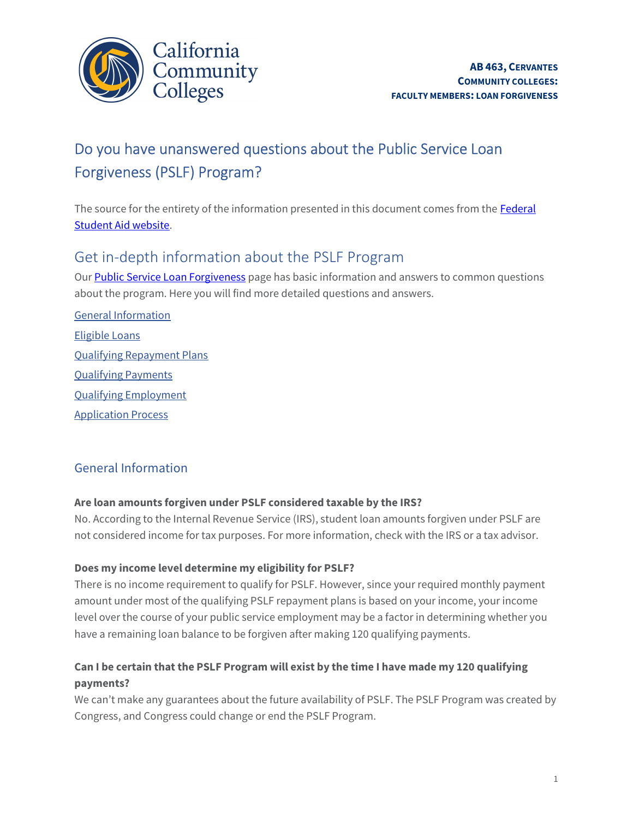

# Do you have unanswered questions about the Public Service Loan Forgiveness (PSLF) Program?

l The source for the entirety of the information presented in this document comes from the **Federal** Student Aid website.

## Get in-depth information about the PSLF Program

L Our **Public Service Loan Forgiveness** page has basic information and answers to common questions about the program. Here you will find more detailed questions and answers.

 Qualifying Repayment Plans Application Process General Information Eligible Loans Qualifying Payments Qualifying Employment

### General Information

### Are loan amounts forgiven under PSLF considered taxable by the IRS?

 No. According to the Internal Revenue Service (IRS), student loan amounts forgiven under PSLF are not considered income for tax purposes. For more information, check with the IRS or a tax advisor.

### Does my income level determine my eligibility for PSLF?

There is no income requirement to qualify for PSLF. However, since your required monthly payment amount under most of the qualifying PSLF repayment plans is based on your income, your income level over the course of your public service employment may be a factor in determining whether you have a remaining loan balance to be forgiven after making 120 qualifying payments.

### Can I be certain that the PSLF Program will exist by the time I have made my 120 qualifying payments?

We can't make any guarantees about the future availability of PSLF. The PSLF Program was created by Congress, and Congress could change or end the PSLF Program.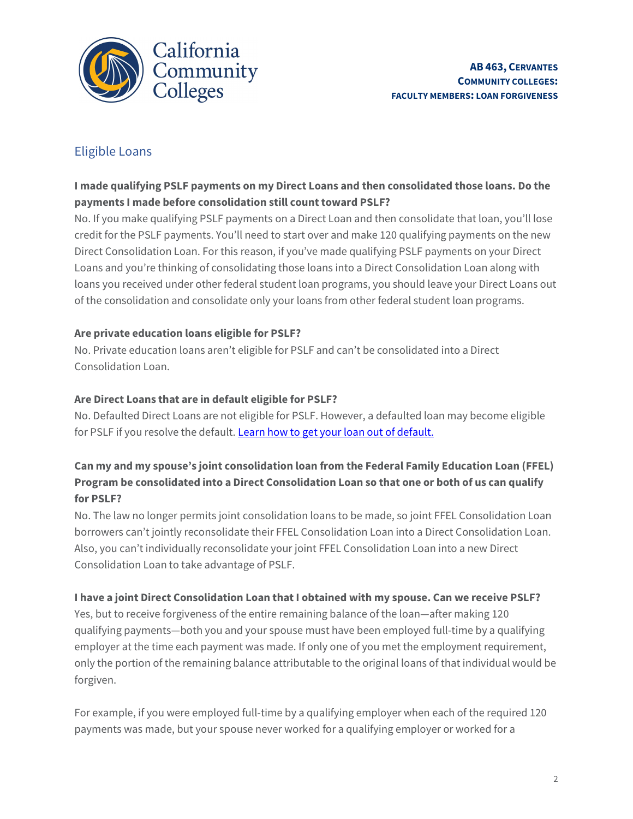

### Eligible Loans

### I made qualifying PSLF payments on my Direct Loans and then consolidated those loans. Do the payments I made before consolidation still count toward PSLF?

 Direct Consolidation Loan. For this reason, if you've made qualifying PSLF payments on your Direct loans you received under other federal student loan programs, you should leave your Direct Loans out of the consolidation and consolidate only your loans from other federal student loan programs. No. If you make qualifying PSLF payments on a Direct Loan and then consolidate that loan, you'll lose credit for the PSLF payments. You'll need to start over and make 120 qualifying payments on the new Loans and you're thinking of consolidating those loans into a Direct Consolidation Loan along with

### Are private education loans eligible for PSLF?

 No. Private education loans aren't eligible for PSLF and can't be consolidated into a Direct Consolidation Loan.

### Are Direct Loans that are in default eligible for PSLF?

 No. Defaulted Direct Loans are not eligible for PSLF. However, a defaulted loan may become eligible for PSLF if you resolve the default. <u>Learn how to get your loan out of default.</u>

### Can my and my spouse's joint consolidation loan from the Federal Family Education Loan (FFEL) Program be consolidated into a Direct Consolidation Loan so that one or both of us can qualify for PSLF?

 No. The law no longer permits joint consolidation loans to be made, so joint FFEL Consolidation Loan borrowers can't jointly reconsolidate their FFEL Consolidation Loan into a Direct Consolidation Loan. Also, you can't individually reconsolidate your joint FFEL Consolidation Loan into a new Direct Consolidation Loan to take advantage of PSLF.

### I have a joint Direct Consolidation Loan that I obtained with my spouse. Can we receive PSLF?

 qualifying payments—both you and your spouse must have been employed full-time by a qualifying Yes, but to receive forgiveness of the entire remaining balance of the loan—after making 120 employer at the time each payment was made. If only one of you met the employment requirement, only the portion of the remaining balance attributable to the original loans of that individual would be forgiven.

For example, if you were employed full-time by a qualifying employer when each of the required 120 payments was made, but your spouse never worked for a qualifying employer or worked for a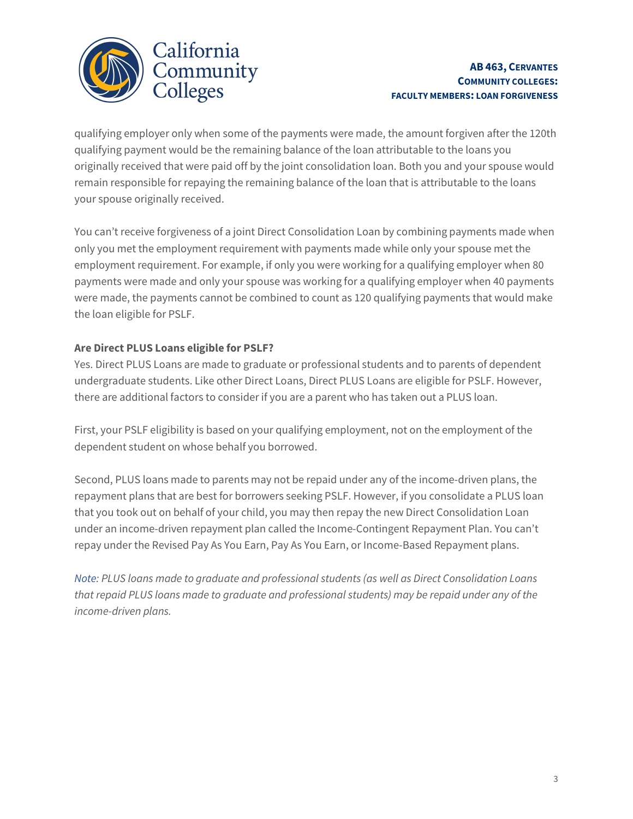

#### AB 463, CERVANTES COMMUNITY COLLEGES: FACULTY MEMBERS: LOAN FORGIVENESS

qualifying employer only when some of the payments were made, the amount forgiven after the 120th qualifying payment would be the remaining balance of the loan attributable to the loans you originally received that were paid off by the joint consolidation loan. Both you and your spouse would remain responsible for repaying the remaining balance of the loan that is attributable to the loans your spouse originally received.

 employment requirement. For example, if only you were working for a qualifying employer when 80 were made, the payments cannot be combined to count as 120 qualifying payments that would make the loan eligible for PSLF. You can't receive forgiveness of a joint Direct Consolidation Loan by combining payments made when only you met the employment requirement with payments made while only your spouse met the payments were made and only your spouse was working for a qualifying employer when 40 payments

### Are Direct PLUS Loans eligible for PSLF?

 Yes. Direct PLUS Loans are made to graduate or professional students and to parents of dependent undergraduate students. Like other Direct Loans, Direct PLUS Loans are eligible for PSLF. However, there are additional factors to consider if you are a parent who has taken out a PLUS loan.

 First, your PSLF eligibility is based on your qualifying employment, not on the employment of the dependent student on whose behalf you borrowed.

 Second, PLUS loans made to parents may not be repaid under any of the income-driven plans, the repayment plans that are best for borrowers seeking PSLF. However, if you consolidate a PLUS loan that you took out on behalf of your child, you may then repay the new Direct Consolidation Loan under an income-driven repayment plan called the Income-Contingent Repayment Plan. You can't repay under the Revised Pay As You Earn, Pay As You Earn, or Income-Based Repayment plans.

 Note: PLUS loans made to graduate and professional students (as well as Direct Consolidation Loans that repaid PLUS loans made to graduate and professional students) may be repaid under any of the income-driven plans.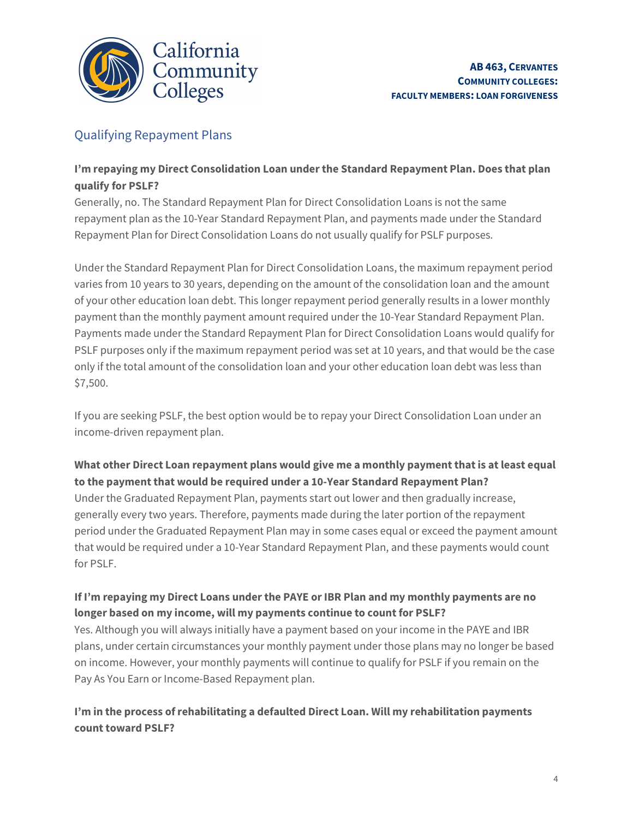

### Qualifying Repayment Plans

### I'm repaying my Direct Consolidation Loan under the Standard Repayment Plan. Does that plan qualify for PSLF?

Generally, no. The Standard Repayment Plan for Direct Consolidation Loans is not the same repayment plan as the 10-Year Standard Repayment Plan, and payments made under the Standard Repayment Plan for Direct Consolidation Loans do not usually qualify for PSLF purposes.

 varies from 10 years to 30 years, depending on the amount of the consolidation loan and the amount of your other education loan debt. This longer repayment period generally results in a lower monthly payment than the monthly payment amount required under the 10-Year Standard Repayment Plan. Payments made under the Standard Repayment Plan for Direct Consolidation Loans would qualify for PSLF purposes only if the maximum repayment period was set at 10 years, and that would be the case only if the total amount of the consolidation loan and your other education loan debt was less than Under the Standard Repayment Plan for Direct Consolidation Loans, the maximum repayment period \$7,500.

 If you are seeking PSLF, the best option would be to repay your Direct Consolidation Loan under an income-driven repayment plan.

### What other Direct Loan repayment plans would give me a monthly payment that is at least equal to the payment that would be required under a 10-Year Standard Repayment Plan?

 Under the Graduated Repayment Plan, payments start out lower and then gradually increase, generally every two years. Therefore, payments made during the later portion of the repayment period under the Graduated Repayment Plan may in some cases equal or exceed the payment amount that would be required under a 10-Year Standard Repayment Plan, and these payments would count Í for PSLF.

#### Ĭ. If I'm repaying my Direct Loans under the PAYE or IBR Plan and my monthly payments are no longer based on my income, will my payments continue to count for PSLF?

Yes. Although you will always initially have a payment based on your income in the PAYE and IBR plans, under certain circumstances your monthly payment under those plans may no longer be based on income. However, your monthly payments will continue to qualify for PSLF if you remain on the Pay As You Earn or Income-Based Repayment plan.

### I'm in the process ofrehabilitating a defaulted Direct Loan. Will my rehabilitation payments count toward PSLF?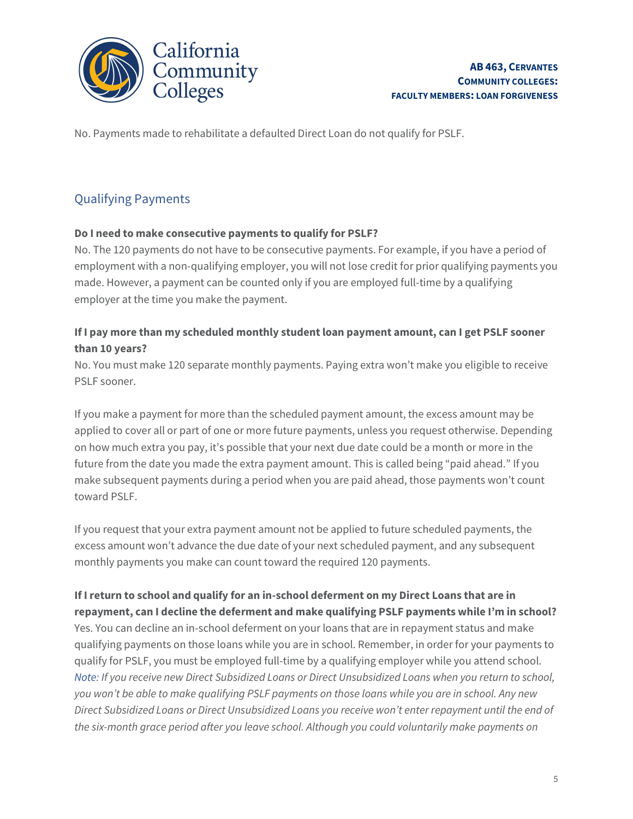

No. Payments made to rehabilitate a defaulted Direct Loan do not qualify for PSLF.

### Qualifying Payments

#### Do I need to make consecutive payments to qualify for PSLF?

 employment with a non-qualifying employer, you will not lose credit for prior qualifying payments you employer at the time you make the payment. No. The 120 payments do not have to be consecutive payments. For example, if you have a period of made. However, a payment can be counted only if you are employed full-time by a qualifying

### If I pay more than my scheduled monthly student loan payment amount, can I get PSLF sooner than 10 years?

 No. You must make 120 separate monthly payments. Paying extra won't make you eligible to receive PSLF sooner.

 If you make a payment for more than the scheduled payment amount, the excess amount may be applied to cover all or part of one or more future payments, unless you request otherwise. Depending on how much extra you pay, it's possible that your next due date could be a month or more in the future from the date you made the extra payment amount. This is called being "paid ahead." If you make subsequent payments during a period when you are paid ahead, those payments won't count toward PSLF.

 If you request that your extra payment amount not be applied to future scheduled payments, the excess amount won't advance the due date of your next scheduled payment, and any subsequent monthly payments you make can count toward the required 120 payments.

ĺ repayment, can I decline the deferment and make qualifying PSLF payments while I'm in school? Î. If Ireturn to school and qualify for an in-school deferment on my Direct Loans that are in Yes. You can decline an in-school deferment on your loans that are in repayment status and make qualifying payments on those loans while you are in school. Remember, in order for your payments to qualify for PSLF, you must be employed full-time by a qualifying employer while you attend school. Note: If you receive new Direct Subsidized Loans or Direct Unsubsidized Loans when you return to school, you won't be able to make qualifying PSLF payments on those loans while you are in school. Any new Direct Subsidized Loans or Direct Unsubsidized Loans you receive won't enter repayment until the end of the six-month grace period after you leave school. Although you could voluntarily make payments on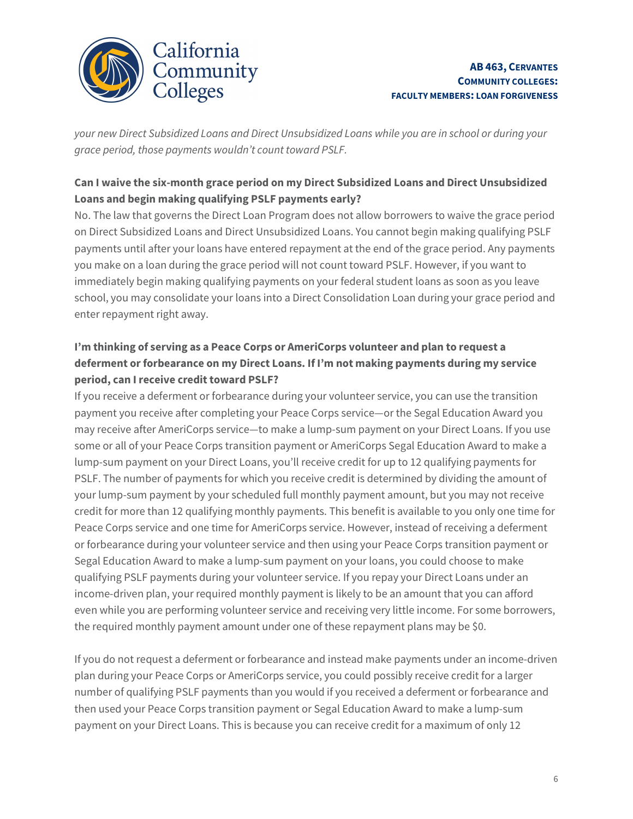

 your new Direct Subsidized Loans and Direct Unsubsidized Loans while you are in school or during your grace period, those payments wouldn't count toward PSLF.

### Can I waive the six-month grace period on my Direct Subsidized Loans and Direct Unsubsidized Loans and begin making qualifying PSLF payments early?

 immediately begin making qualifying payments on your federal student loans as soon as you leave school, you may consolidate your loans into a Direct Consolidation Loan during your grace period and enter repayment right away. No. The law that governs the Direct Loan Program does not allow borrowers to waive the grace period on Direct Subsidized Loans and Direct Unsubsidized Loans. You cannot begin making qualifying PSLF payments until after your loans have entered repayment at the end of the grace period. Any payments you make on a loan during the grace period will not count toward PSLF. However, if you want to

### I'm thinking of serving as a Peace Corps or AmeriCorps volunteer and plan to request a deferment or forbearance on my Direct Loans. If I'm not making payments during my service period, can I receive credit toward PSLF?

 If you receive a deferment or forbearance during your volunteer service, you can use the transition payment you receive after completing your Peace Corps service—or the Segal Education Award you may receive after AmeriCorps service—to make a lump-sum payment on your Direct Loans. If you use some or all of your Peace Corps transition payment or AmeriCorps Segal Education Award to make a lump-sum payment on your Direct Loans, you'll receive credit for up to 12 qualifying payments for PSLF. The number of payments for which you receive credit is determined by dividing the amount of your lump-sum payment by your scheduled full monthly payment amount, but you may not receive credit for more than 12 qualifying monthly payments. This benefit is available to you only one time for Peace Corps service and one time for AmeriCorps service. However, instead of receiving a deferment or forbearance during your volunteer service and then using your Peace Corps transition payment or income-driven plan, your required monthly payment is likely to be an amount that you can afford Segal Education Award to make a lump-sum payment on your loans, you could choose to make qualifying PSLF payments during your volunteer service. If you repay your Direct Loans under an even while you are performing volunteer service and receiving very little income. For some borrowers, the required monthly payment amount under one of these repayment plans may be \$0.

If you do not request a deferment or forbearance and instead make payments under an income-driven plan during your Peace Corps or AmeriCorps service, you could possibly receive credit for a larger number of qualifying PSLF payments than you would if you received a deferment or forbearance and then used your Peace Corps transition payment or Segal Education Award to make a lump-sum payment on your Direct Loans. This is because you can receive credit for a maximum of only 12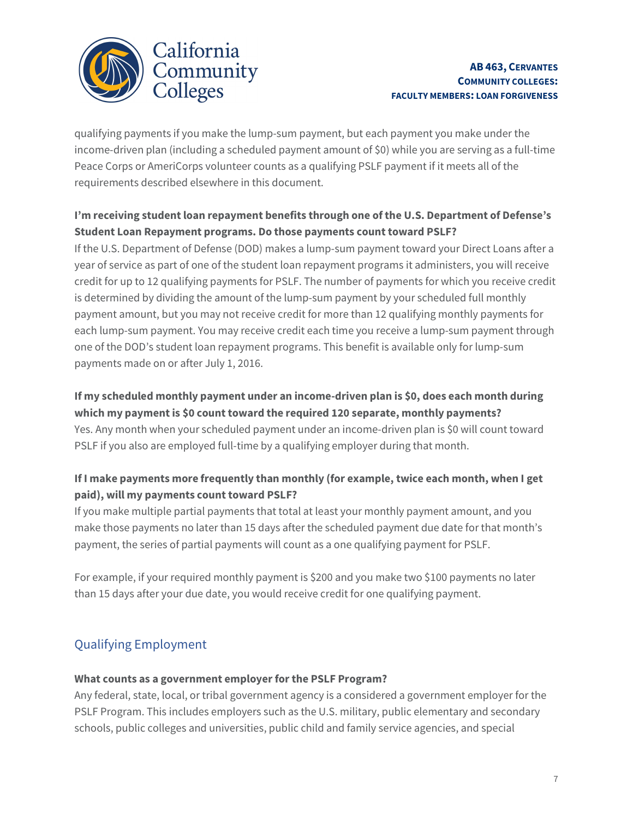

#### AB 463, CERVANTES COMMUNITY COLLEGES: FACULTY MEMBERS: LOAN FORGIVENESS

 income-driven plan (including a scheduled payment amount of \$0) while you are serving as a full-time requirements described elsewhere in this document. qualifying payments if you make the lump-sum payment, but each payment you make under the Peace Corps or AmeriCorps volunteer counts as a qualifying PSLF payment if it meets all of the

### I'm receiving student loan repayment benefits through one of the U.S. Department of Defense's Student Loan Repayment programs. Do those payments count toward PSLF?

 is determined by dividing the amount of the lump-sum payment by your scheduled full monthly payment amount, but you may not receive credit for more than 12 qualifying monthly payments for each lump-sum payment. You may receive credit each time you receive a lump-sum payment through one of the DOD's student loan repayment programs. This benefit is available only for lump-sum payments made on or after July 1, 2016. If the U.S. Department of Defense (DOD) makes a lump-sum payment toward your Direct Loans after a year of service as part of one of the student loan repayment programs it administers, you will receive credit for up to 12 qualifying payments for PSLF. The number of payments for which you receive credit

#### If my scheduled monthly payment under an income-driven plan is \$0, does each month during which my payment is \$0 count toward the required 120 separate, monthly payments?

 Yes. Any month when your scheduled payment under an income-driven plan is \$0 will count toward PSLF if you also are employed full-time by a qualifying employer during that month.

### If I make payments more frequently than monthly (for example, twice each month, when I get paid), will my payments count toward PSLF?

 If you make multiple partial payments that total at least your monthly payment amount, and you make those payments no later than 15 days after the scheduled payment due date for that month's payment, the series of partial payments will count as a one qualifying payment for PSLF.

For example, if your required monthly payment is \$200 and you make two \$100 payments no later than 15 days after your due date, you would receive credit for one qualifying payment.

## Qualifying Employment

### What counts as a government employer for the PSLF Program?

Any federal, state, local, or tribal government agency is a considered a government employer for the PSLF Program. This includes employers such as the U.S. military, public elementary and secondary schools, public colleges and universities, public child and family service agencies, and special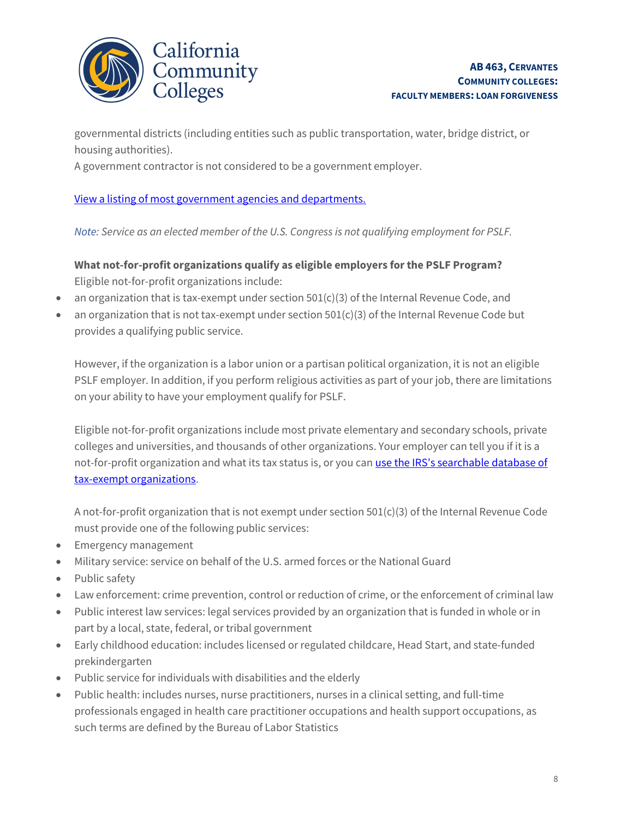

 governmental districts (including entities such as public transportation, water, bridge district, or housing authorities).

A government contractor is not considered to be a government employer.

 $\overline{a}$ View a listing of most government agencies and departments.

Note: Service as an elected member of the U.S. Congress is not qualifying employment for PSLF.

 What not-for-profit organizations qualify as eligible employers for the PSLF Program? Eligible not-for-profit organizations include:

- an organization that is tax-exempt under section 501(c)(3) of the Internal Revenue Code, and
- an organization that is not tax-exempt under section 501(c)(3) of the Internal Revenue Code but provides a qualifying public service.

 However, if the organization is a labor union or a partisan political organization, it is not an eligible PSLF employer. In addition, if you perform religious activities as part of your job, there are limitations on your ability to have your employment qualify for PSLF.

 Eligible not-for-profit organizations include most private elementary and secondary schools, private colleges and universities, and thousands of other organizations. Your employer can tell you if it is a not-for-profit organization and what its tax status is, or you can use the IRS's searchable database of tax-exempt organizations.

 A not-for-profit organization that is not exempt under section 501(c)(3) of the Internal Revenue Code must provide one of the following public services:

- Emergency management
- Military service: service on behalf of the U.S. armed forces or the National Guard
- Public safety
- Law enforcement: crime prevention, control or reduction of crime, or the enforcement of criminal law
- Public interest law services: legal services provided by an organization that is funded in whole or in part by a local, state, federal, or tribal government
- Early childhood education: includes licensed or regulated childcare, Head Start, and state-funded prekindergarten
- Public service for individuals with disabilities and the elderly
- professionals engaged in health care practitioner occupations and health support occupations, as Public health: includes nurses, nurse practitioners, nurses in a clinical setting, and full-time such terms are defined by the Bureau of Labor Statistics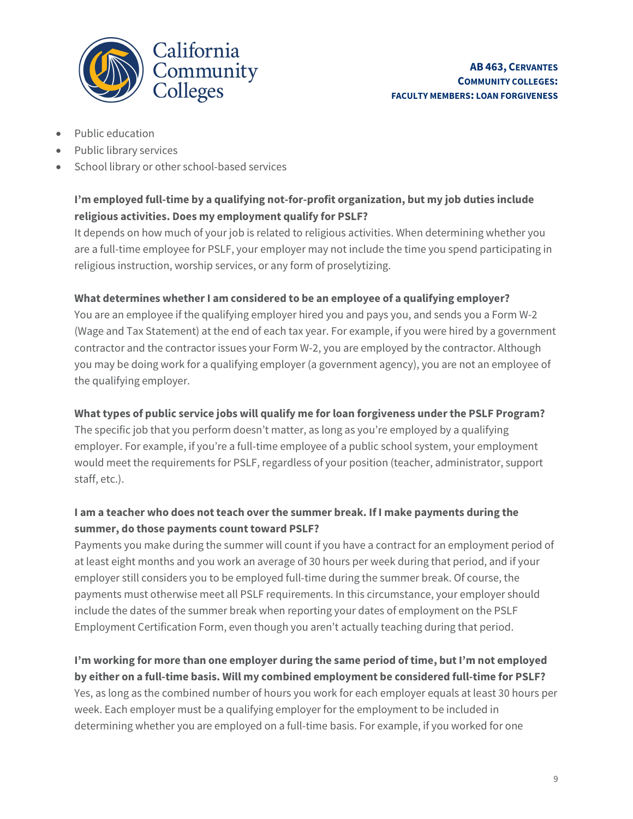

- Public education
- Public library services
- School library or other school-based services

### I'm employed full-time by a qualifying not-for-profit organization, but my job duties include religious activities. Does my employment qualify for PSLF?

It depends on how much of your job is related to religious activities. When determining whether you are a full-time employee for PSLF, your employer may not include the time you spend participating in religious instruction, worship services, or any form of proselytizing.

#### What determines whether I am considered to be an employee of a qualifying employer?

 You are an employee if the qualifying employer hired you and pays you, and sends you a Form W-2 (Wage and Tax Statement) at the end of each tax year. For example, if you were hired by a government contractor and the contractor issues your Form W-2, you are employed by the contractor. Although you may be doing work for a qualifying employer (a government agency), you are not an employee of the qualifying employer.

#### What types of public service jobs will qualify me for loan forgiveness under the PSLF Program?

 The specific job that you perform doesn't matter, as long as you're employed by a qualifying employer. For example, if you're a full-time employee of a public school system, your employment would meet the requirements for PSLF, regardless of your position (teacher, administrator, support staff, etc.).

### I am a teacher who does not teach over the summer break. If I make payments during the summer, do those payments count toward PSLF?

 Payments you make during the summer will count if you have a contract for an employment period of  $\overline{a}$  Employment Certification Form, even though you aren't actually teaching during that period. at least eight months and you work an average of 30 hours per week during that period, and if your employer still considers you to be employed full-time during the summer break. Of course, the payments must otherwise meet all PSLF requirements. In this circumstance, your employer should include the dates of the summer break when reporting your dates of employment on the PSLF

### I'm working for more than one employer during the same period of time, but I'm not employed by either on a full-time basis. Will my combined employment be considered full-time for PSLF?

 determining whether you are employed on a full-time basis. For example, if you worked for one Yes, as long as the combined number of hours you work for each employer equals at least 30 hours per week. Each employer must be a qualifying employer for the employment to be included in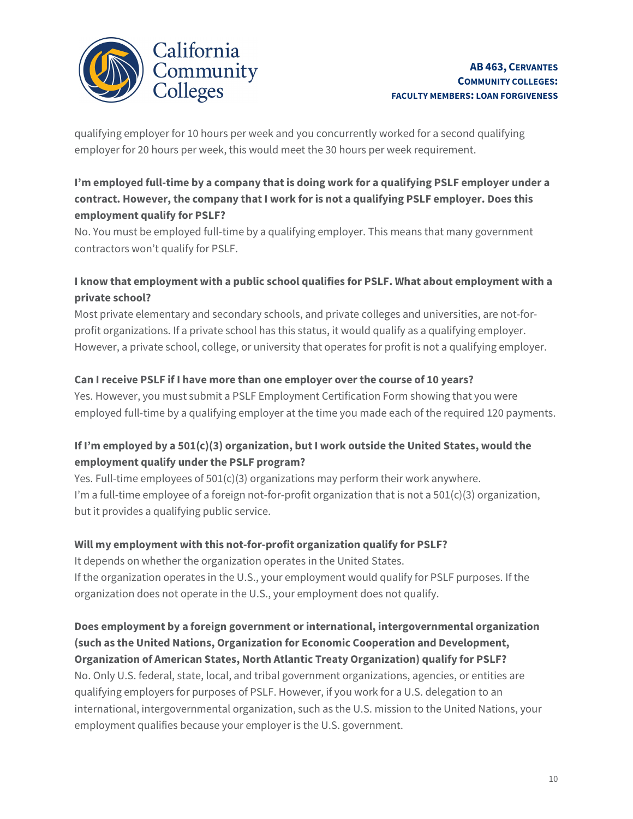

qualifying employer for 10 hours per week and you concurrently worked for a second qualifying employer for 20 hours per week, this would meet the 30 hours per week requirement.

### employment qualify for PSLF? I'm employed full-time by a company that is doing work for a qualifying PSLF employer under a contract. However, the company that I work for is not a qualifying PSLF employer. Does this

No. You must be employed full-time by a qualifying employer. This means that many government contractors won't qualify for PSLF.

### private school? I know that employment with a public school qualifies for PSLF. What about employment with a

 Most private elementary and secondary schools, and private colleges and universities, are not-for- profit organizations. If a private school has this status, it would qualify as a qualifying employer. However, a private school, college, or university that operates for profit is not a qualifying employer.

### Can Ireceive PSLF if I have more than one employer over the course of 10 years?

 Yes. However, you must submit a PSLF Employment Certification Form showing that you were employed full-time by a qualifying employer at the time you made each of the required 120 payments.

### If I'm employed by a 501(c)(3) organization, but I work outside the United States, would the employment qualify under the PSLF program?

 Yes. Full-time employees of 501(c)(3) organizations may perform their work anywhere. I'm a full-time employee of a foreign not-for-profit organization that is not a 501(c)(3) organization, but it provides a qualifying public service.

### Will my employment with this not-for-profit organization qualify for PSLF?

 organization does not operate in the U.S., your employment does not qualify. It depends on whether the organization operates in the United States. If the organization operates in the U.S., your employment would qualify for PSLF purposes. If the

### Does employment by a foreign government or international, intergovernmental organization Organization of American States, North Atlantic Treaty Organization) qualify for PSLF? (such as the United Nations, Organization for Economic Cooperation and Development,

 international, intergovernmental organization, such as the U.S. mission to the United Nations, your employment qualifies because your employer is the U.S. government. No. Only U.S. federal, state, local, and tribal government organizations, agencies, or entities are qualifying employers for purposes of PSLF. However, if you work for a U.S. delegation to an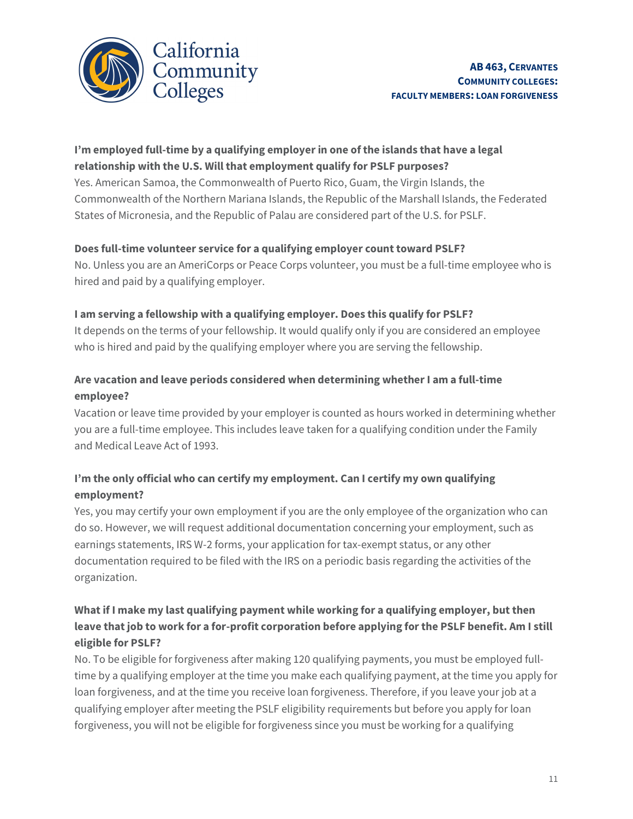

### relationship with the U.S. Will that employment qualify for PSLF purposes? I'm employed full-time by a qualifying employer in one ofthe islands that have a legal

 Commonwealth of the Northern Mariana Islands, the Republic of the Marshall Islands, the Federated Yes. American Samoa, the Commonwealth of Puerto Rico, Guam, the Virgin Islands, the States of Micronesia, and the Republic of Palau are considered part of the U.S. for PSLF.

#### Does full-time volunteer service for a qualifying employer count toward PSLF?

No. Unless you are an AmeriCorps or Peace Corps volunteer, you must be a full-time employee who is hired and paid by a qualifying employer.

### I am serving a fellowship with a qualifying employer. Does this qualify for PSLF?

 It depends on the terms of your fellowship. It would qualify only if you are considered an employee who is hired and paid by the qualifying employer where you are serving the fellowship.

### Are vacation and leave periods considered when determining whether I am a full-time employee?

 Vacation or leave time provided by your employer is counted as hours worked in determining whether you are a full-time employee. This includes leave taken for a qualifying condition under the Family and Medical Leave Act of 1993.

### I'm the only official who can certify my employment. Can I certify my own qualifying employment?

 Yes, you may certify your own employment if you are the only employee of the organization who can do so. However, we will request additional documentation concerning your employment, such as earnings statements, IRS W-2 forms, your application for tax-exempt status, or any other documentation required to be filed with the IRS on a periodic basis regarding the activities of the organization.

### What if I make my last qualifying payment while working for a qualifying employer, but then leave that job to work for a for-profit corporation before applying for the PSLF benefit. Am I still eligible for PSLF?

 loan forgiveness, and at the time you receive loan forgiveness. Therefore, if you leave your job at a No. To be eligible for forgiveness after making 120 qualifying payments, you must be employed fulltime by a qualifying employer at the time you make each qualifying payment, at the time you apply for qualifying employer after meeting the PSLF eligibility requirements but before you apply for loan forgiveness, you will not be eligible for forgiveness since you must be working for a qualifying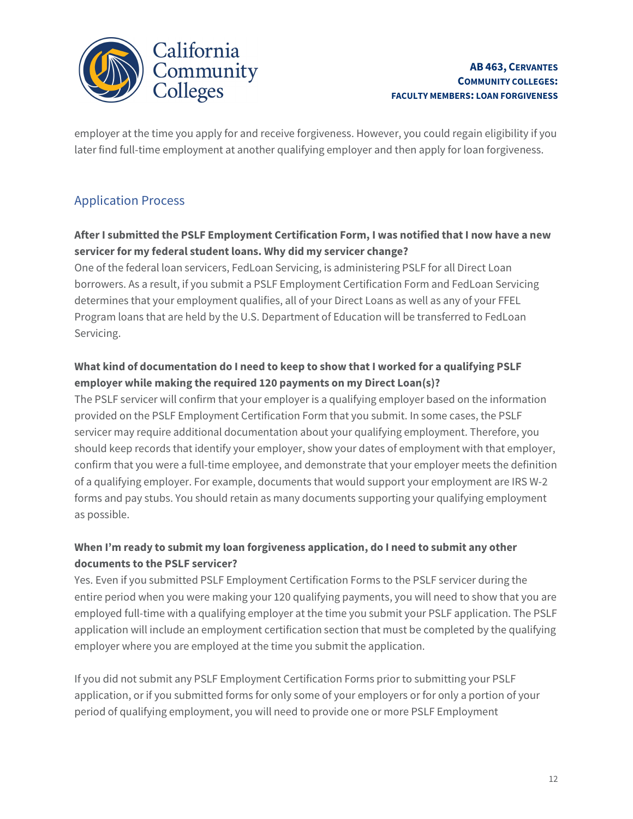

 $\overline{a}$ employer at the time you apply for and receive forgiveness. However, you could regain eligibility if you later find full-time employment at another qualifying employer and then apply for loan forgiveness.

### Application Process

### After I submitted the PSLF Employment Certification Form, I was notified that I now have a new servicer for my federal student loans. Why did my servicer change?

 borrowers. As a result, if you submit a PSLF Employment Certification Form and FedLoan Servicing determines that your employment qualifies, all of your Direct Loans as well as any of your FFEL Program loans that are held by the U.S. Department of Education will be transferred to FedLoan One of the federal loan servicers, FedLoan Servicing, is administering PSLF for all Direct Loan Servicing.

### What kind of documentation do I need to keep to show that I worked for a qualifying PSLF employer while making the required 120 payments on my Direct Loan(s)?

 The PSLF servicer will confirm that your employer is a qualifying employer based on the information provided on the PSLF Employment Certification Form that you submit. In some cases, the PSLF servicer may require additional documentation about your qualifying employment. Therefore, you should keep records that identify your employer, show your dates of employment with that employer, confirm that you were a full-time employee, and demonstrate that your employer meets the definition of a qualifying employer. For example, documents that would support your employment are IRS W-2 forms and pay stubs. You should retain as many documents supporting your qualifying employment as possible.

### When I'm ready to submit my loan forgiveness application, do I need to submit any other documents to the PSLF servicer?

Yes. Even if you submitted PSLF Employment Certification Forms to the PSLF servicer during the entire period when you were making your 120 qualifying payments, you will need to show that you are employed full-time with a qualifying employer at the time you submit your PSLF application. The PSLF application will include an employment certification section that must be completed by the qualifying employer where you are employed at the time you submit the application.

 application, or if you submitted forms for only some of your employers or for only a portion of your If you did not submit any PSLF Employment Certification Forms prior to submitting your PSLF period of qualifying employment, you will need to provide one or more PSLF Employment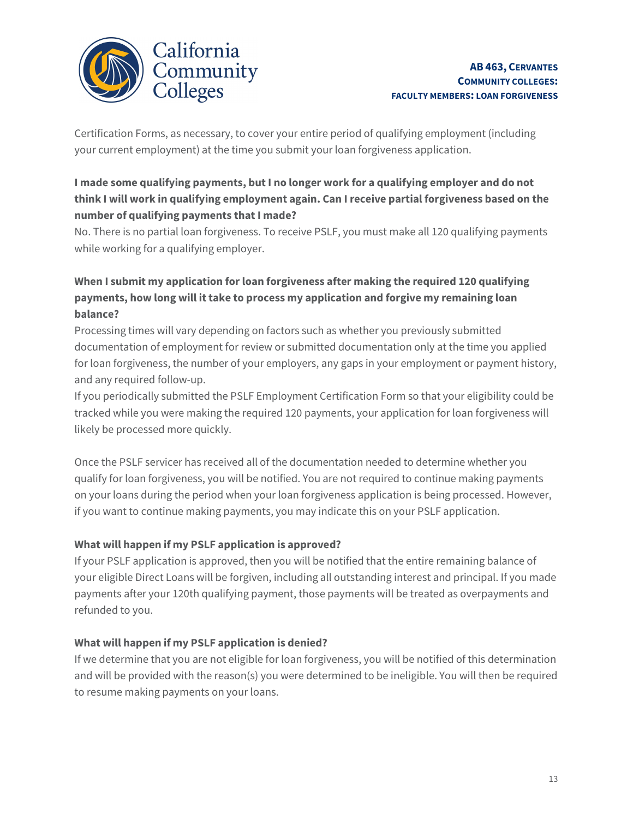

 Certification Forms, as necessary, to cover your entire period of qualifying employment (including your current employment) at the time you submit your loan forgiveness application.

### I made some qualifying payments, but I no longer work for a qualifying employer and do not think I will work in qualifying employment again. Can I receive partial forgiveness based on the number of qualifying payments that I made?

No. There is no partial loan forgiveness. To receive PSLF, you must make all 120 qualifying payments while working for a qualifying employer.

### payments, how long will it take to process my application and forgive my remaining loan When I submit my application for loan forgiveness after making the required 120 qualifying balance?

 Processing times will vary depending on factors such as whether you previously submitted documentation of employment for review or submitted documentation only at the time you applied for loan forgiveness, the number of your employers, any gaps in your employment or payment history, and any required follow-up.

 If you periodically submitted the PSLF Employment Certification Form so that your eligibility could be tracked while you were making the required 120 payments, your application for loan forgiveness will likely be processed more quickly.

 Once the PSLF servicer has received all of the documentation needed to determine whether you qualify for loan forgiveness, you will be notified. You are not required to continue making payments on your loans during the period when your loan forgiveness application is being processed. However, if you want to continue making payments, you may indicate this on your PSLF application.

### What will happen if my PSLF application is approved?

If your PSLF application is approved, then you will be notified that the entire remaining balance of your eligible Direct Loans will be forgiven, including all outstanding interest and principal. If you made payments after your 120th qualifying payment, those payments will be treated as overpayments and refunded to you.

### What will happen if my PSLF application is denied?

If we determine that you are not eligible for loan forgiveness, you will be notified of this determination and will be provided with the reason(s) you were determined to be ineligible. You will then be required to resume making payments on your loans.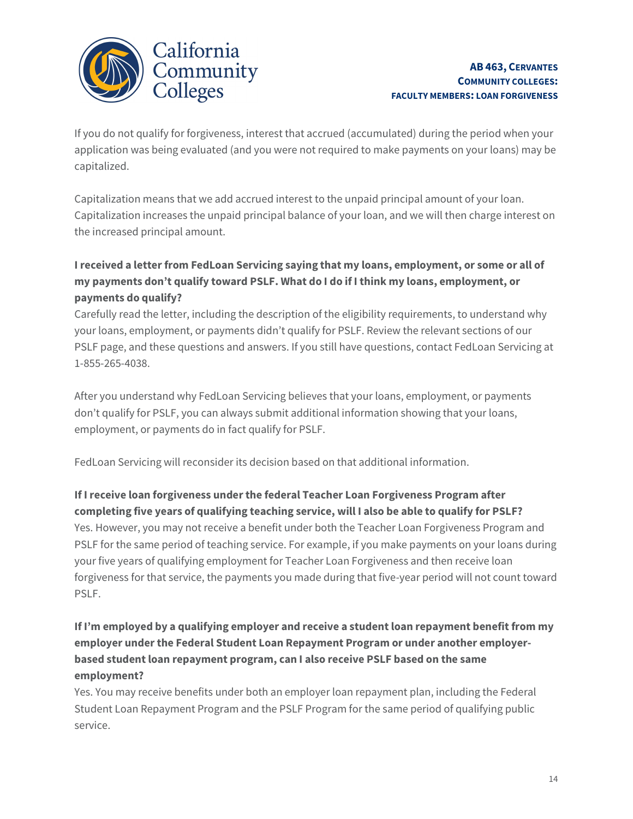

If you do not qualify for forgiveness, interest that accrued (accumulated) during the period when your application was being evaluated (and you were not required to make payments on your loans) may be capitalized.

 Capitalization means that we add accrued interest to the unpaid principal amount of your loan. Capitalization increases the unpaid principal balance of your loan, and we will then charge interest on the increased principal amount.

### payments do qualify? I received a letter from FedLoan Servicing saying that my loans, employment, or some or all of my payments don't qualify toward PSLF. What do I do if I think my loans, employment, or

 Carefully read the letter, including the description of the eligibility requirements, to understand why your loans, employment, or payments didn't qualify for PSLF. Review the relevant sections of our PSLF page, and these questions and answers. If you still have questions, contact FedLoan Servicing at 1-855-265-4038.

 After you understand why FedLoan Servicing believes that your loans, employment, or payments don't qualify for PSLF, you can always submit additional information showing that your loans, employment, or payments do in fact qualify for PSLF.

FedLoan Servicing will reconsider its decision based on that additional information.

### If Ireceive loan forgiveness under the federal Teacher Loan Forgiveness Program after completing five years of qualifying teaching service, will I also be able to qualify for PSLF?

 Yes. However, you may not receive a benefit under both the Teacher Loan Forgiveness Program and PSLF for the same period of teaching service. For example, if you make payments on your loans during your five years of qualifying employment for Teacher Loan Forgiveness and then receive loan forgiveness for that service, the payments you made during that five-year period will not count toward PSLF.

#### ĺ If I'm employed by a qualifying employer and receive a student loan repayment benefit from my employer under the Federal Student Loan Repayment Program or under another employerbased student loan repayment program, can I also receive PSLF based on the same employment?

Yes. You may receive benefits under both an employer loan repayment plan, including the Federal Student Loan Repayment Program and the PSLF Program for the same period of qualifying public service.